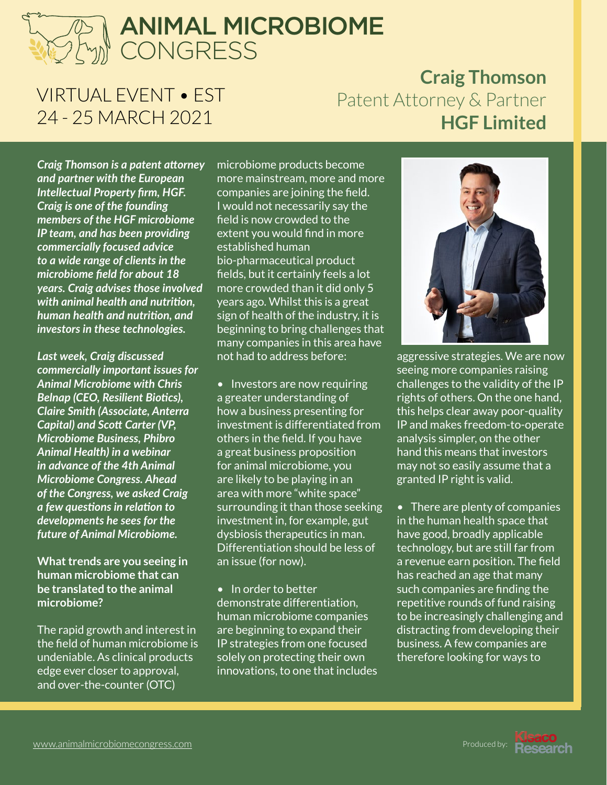## ANIMAL MICROBIOME **CONGRESS**

### VIRTUAL EVENT • EST 24 - 25 MARCH 2021

### **Craig Thomson** Patent Attorney & Partner **HGF Limited**

CONGRESS *Intellectual Property firm, HGF. inaman nearm and nathtion*, and sign of his<br>investors in these technologies. Supportional *Craig Thomson is a patent attorney and partner with the European Craig is one of the founding members of the HGF microbiome IP team, and has been providing commercially focused advice to a wide range of clients in the microbiome field for about 18 years. Craig advises those involved with animal health and nutrition, human health and nutrition, and* 

*Last week, Craig discussed commercially important issues for Animal Microbiome with Chris Belnap (CEO, Resilient Biotics), Claire Smith (Associate, Anterra Capital) and Scott Carter (VP, Microbiome Business, Phibro Animal Health) in a webinar in advance of the 4th Animal Microbiome Congress. Ahead of the Congress, we asked Craig a few questions in relation to developments he sees for the future of Animal Microbiome.* 

**What trends are you seeing in human microbiome that can be translated to the animal microbiome?**

The rapid growth and interest in the field of human microbiome is undeniable. As clinical products edge ever closer to approval, and over-the-counter (OTC)

a patent attorney microbiome products become<br>the European more mainstream, more and more  $\mathcal{A}$  h and nutrition, years ago. Whilst this is a great the nutrition and said sign of health of the industry it is: microbiome products become companies are joining the field. I would not necessarily say the field is now crowded to the extent you would find in more established human bio-pharmaceutical product fields, but it certainly feels a lot more crowded than it did only 5 sign of health of the industry, it is beginning to bring challenges that many companies in this area have not had to address before:

> • Investors are now requiring a greater understanding of how a business presenting for investment is differentiated from others in the field. If you have a great business proposition for animal microbiome, you are likely to be playing in an area with more "white space" surrounding it than those seeking investment in, for example, gut dysbiosis therapeutics in man. Differentiation should be less of an issue (for now).

• In order to better demonstrate differentiation, human microbiome companies are beginning to expand their IP strategies from one focused solely on protecting their own innovations, to one that includes



aggressive strategies. We are now seeing more companies raising challenges to the validity of the IP rights of others. On the one hand, this helps clear away poor-quality IP and makes freedom-to-operate analysis simpler, on the other hand this means that investors may not so easily assume that a granted IP right is valid.

• There are plenty of companies in the human health space that have good, broadly applicable technology, but are still far from a revenue earn position. The field has reached an age that many such companies are finding the repetitive rounds of fund raising to be increasingly challenging and distracting from developing their business. A few companies are therefore looking for ways to

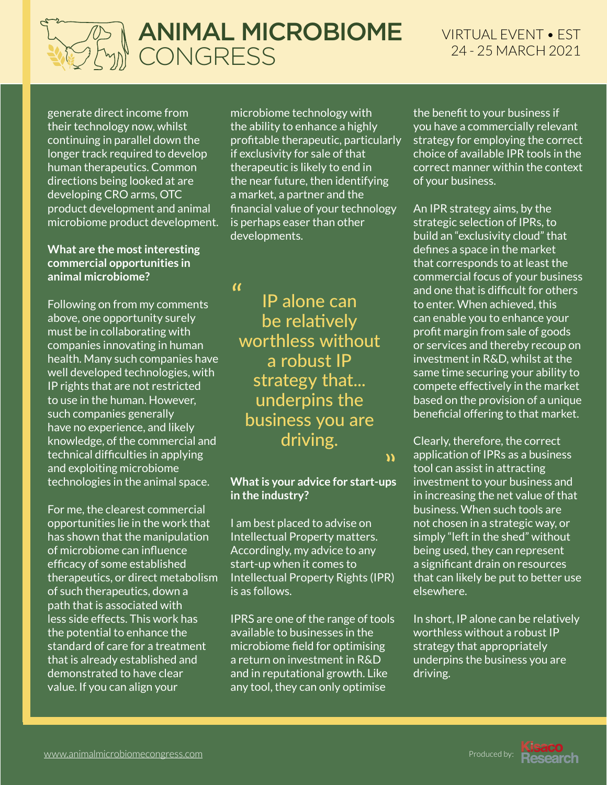

VIRTUAL EVENT • EST 24 - 25 MARCH 2021

CONGRESS product development and animal generate direct income from their technology now, whilst continuing in parallel down the longer track required to develop human therapeutics. Common directions being looked at are developing CRO arms, OTC microbiome product development.

#### **What are the most interesting commercial opportunities in animal microbiome?**

Following on from my comments above, one opportunity surely must be in collaborating with companies innovating in human health. Many such companies have well developed technologies, with IP rights that are not restricted to use in the human. However, such companies generally have no experience, and likely knowledge, of the commercial and technical difficulties in applying and exploiting microbiome technologies in the animal space.

For me, the clearest commercial opportunities lie in the work that has shown that the manipulation of microbiome can influence efficacy of some established therapeutics, or direct metabolism of such therapeutics, down a path that is associated with less side effects. This work has the potential to enhance the standard of care for a treatment that is already established and demonstrated to have clear value. If you can align your

ANIMAL MICROBIOME the near future, then identifying microbiome technology with the ability to enhance a highly profitable therapeutic, particularly if exclusivity for sale of that therapeutic is likely to end in a market, a partner and the financial value of your technology is perhaps easer than other developments.

 $\alpha$ 

my comments<br>unity surely **the be relatively**<br>intiaculity rating with **the congress of the CONGRES**<br>ting in human **worthless without** IP alone can a robust IP strategy that... underpins the business you are driving.

 $\mathbf{v}$ 

#### **What is your advice for start-ups in the industry?**

I am best placed to advise on Intellectual Property matters. Accordingly, my advice to any start-up when it comes to Intellectual Property Rights (IPR) is as follows.

IPRS are one of the range of tools available to businesses in the microbiome field for optimising a return on investment in R&D and in reputational growth. Like any tool, they can only optimise

the benefit to your business if you have a commercially relevant strategy for employing the correct choice of available IPR tools in the correct manner within the context of your business.

An IPR strategy aims, by the strategic selection of IPRs, to build an "exclusivity cloud" that defines a space in the market that corresponds to at least the commercial focus of your business and one that is difficult for others to enter. When achieved, this can enable you to enhance your profit margin from sale of goods or services and thereby recoup on investment in R&D, whilst at the same time securing your ability to compete effectively in the market based on the provision of a unique beneficial offering to that market.

Clearly, therefore, the correct application of IPRs as a business tool can assist in attracting investment to your business and in increasing the net value of that business. When such tools are not chosen in a strategic way, or simply "left in the shed" without being used, they can represent a significant drain on resources that can likely be put to better use elsewhere.

In short, IP alone can be relatively worthless without a robust IP strategy that appropriately underpins the business you are driving.